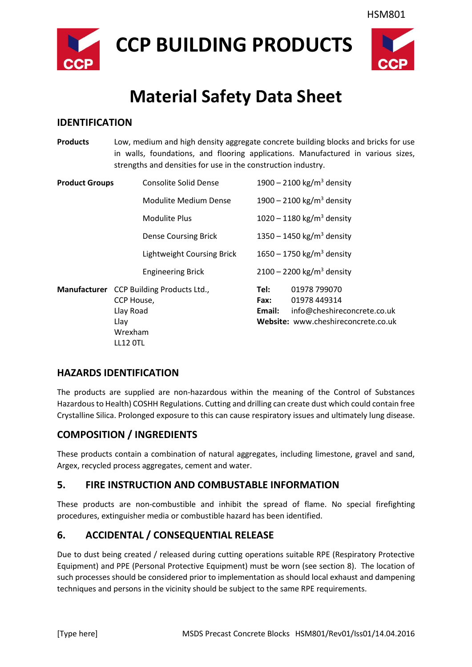

**CCP BUILDING PRODUCTS**



## **Material Safety Data Sheet**

#### **IDENTIFICATION**

**Products** Low, medium and high density aggregate concrete building blocks and bricks for use in walls, foundations, and flooring applications. Manufactured in various sizes, strengths and densities for use in the construction industry.

| <b>Product Groups</b> | Consolite Solid Dense                                                                              |                        | 1900 – 2100 kg/m <sup>3</sup> density                                                              |
|-----------------------|----------------------------------------------------------------------------------------------------|------------------------|----------------------------------------------------------------------------------------------------|
|                       | Modulite Medium Dense                                                                              |                        | 1900 – 2100 kg/m <sup>3</sup> density                                                              |
|                       | Modulite Plus                                                                                      |                        | 1020 – 1180 kg/m <sup>3</sup> density                                                              |
|                       | <b>Dense Coursing Brick</b>                                                                        |                        | 1350 – 1450 kg/m <sup>3</sup> density                                                              |
|                       | Lightweight Coursing Brick                                                                         |                        | 1650 – 1750 kg/m <sup>3</sup> density                                                              |
|                       | <b>Engineering Brick</b>                                                                           |                        | $2100 - 2200$ kg/m <sup>3</sup> density                                                            |
|                       | Manufacturer CCP Building Products Ltd.,<br>CCP House,<br>Llay Road<br>Llay<br>Wrexham<br>LL12 OTL | Tel:<br>Fax:<br>Email: | 01978 799070<br>01978 449314<br>info@cheshireconcrete.co.uk<br>Website: www.cheshireconcrete.co.uk |

#### **HAZARDS IDENTIFICATION**

The products are supplied are non-hazardous within the meaning of the Control of Substances Hazardous to Health) COSHH Regulations. Cutting and drilling can create dust which could contain free Crystalline Silica. Prolonged exposure to this can cause respiratory issues and ultimately lung disease.

#### **COMPOSITION / INGREDIENTS**

These products contain a combination of natural aggregates, including limestone, gravel and sand, Argex, recycled process aggregates, cement and water.

#### **5. FIRE INSTRUCTION AND COMBUSTABLE INFORMATION**

These products are non-combustible and inhibit the spread of flame. No special firefighting procedures, extinguisher media or combustible hazard has been identified.

### **6. ACCIDENTAL / CONSEQUENTIAL RELEASE**

Due to dust being created / released during cutting operations suitable RPE (Respiratory Protective Equipment) and PPE (Personal Protective Equipment) must be worn (see section 8). The location of such processes should be considered prior to implementation as should local exhaust and dampening techniques and persons in the vicinity should be subject to the same RPE requirements.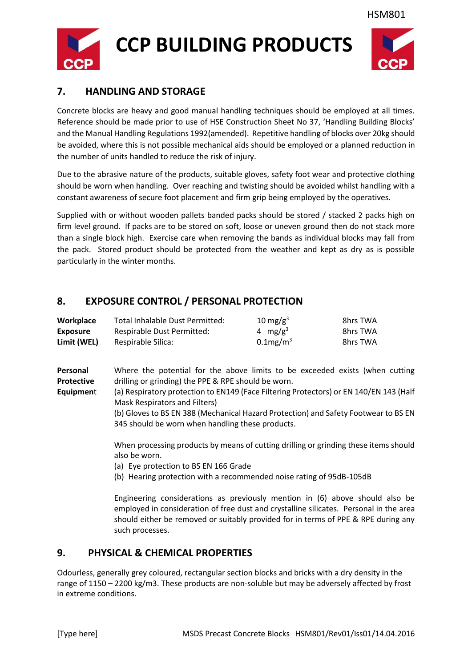

# **CCP BUILDING PRODUCTS**



#### **7. HANDLING AND STORAGE**

Concrete blocks are heavy and good manual handling techniques should be employed at all times. Reference should be made prior to use of HSE Construction Sheet No 37, 'Handling Building Blocks' and the Manual Handling Regulations 1992(amended). Repetitive handling of blocks over 20kg should be avoided, where this is not possible mechanical aids should be employed or a planned reduction in the number of units handled to reduce the risk of injury.

Due to the abrasive nature of the products, suitable gloves, safety foot wear and protective clothing should be worn when handling. Over reaching and twisting should be avoided whilst handling with a constant awareness of secure foot placement and firm grip being employed by the operatives.

Supplied with or without wooden pallets banded packs should be stored / stacked 2 packs high on firm level ground. If packs are to be stored on soft, loose or uneven ground then do not stack more than a single block high. Exercise care when removing the bands as individual blocks may fall from the pack. Stored product should be protected from the weather and kept as dry as is possible particularly in the winter months.

#### **8. EXPOSURE CONTROL / PERSONAL PROTECTION**

| Workplace       | Total Inhalable Dust Permitted: | 10 mg/g <sup>3</sup> | 8hrs TWA |
|-----------------|---------------------------------|----------------------|----------|
| <b>Exposure</b> | Respirable Dust Permitted:      | 4 mg/g <sup>3</sup>  | 8hrs TWA |
| Limit (WEL)     | Respirable Silica:              | $0.1$ mg/m $3$       | 8hrs TWA |

**Personal** Where the potential for the above limits to be exceeded exists (when cutting **Protective** drilling or grinding) the PPE & RPE should be worn.

**Equipmen**t (a) Respiratory protection to EN149 (Face Filtering Protectors) or EN 140/EN 143 (Half Mask Respirators and Filters)

> (b) Gloves to BS EN 388 (Mechanical Hazard Protection) and Safety Footwear to BS EN 345 should be worn when handling these products.

> When processing products by means of cutting drilling or grinding these items should also be worn.

(a) Eye protection to BS EN 166 Grade

(b) Hearing protection with a recommended noise rating of 95dB-105dB

Engineering considerations as previously mention in (6) above should also be employed in consideration of free dust and crystalline silicates. Personal in the area should either be removed or suitably provided for in terms of PPE & RPE during any such processes.

#### **9. PHYSICAL & CHEMICAL PROPERTIES**

Odourless, generally grey coloured, rectangular section blocks and bricks with a dry density in the range of 1150 – 2200 kg/m3. These products are non-soluble but may be adversely affected by frost in extreme conditions.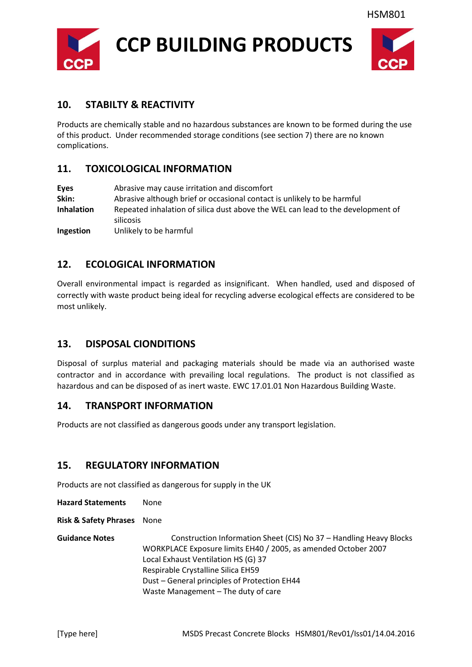



#### **10. STABILTY & REACTIVITY**

Products are chemically stable and no hazardous substances are known to be formed during the use of this product. Under recommended storage conditions (see section 7) there are no known complications.

#### **11. TOXICOLOGICAL INFORMATION**

| <b>Eyes</b>       | Abrasive may cause irritation and discomfort                                    |  |
|-------------------|---------------------------------------------------------------------------------|--|
| Skin:             | Abrasive although brief or occasional contact is unlikely to be harmful         |  |
| <b>Inhalation</b> | Repeated inhalation of silica dust above the WEL can lead to the development of |  |
|                   | silicosis                                                                       |  |
| Ingestion         | Unlikely to be harmful                                                          |  |

#### **12. ECOLOGICAL INFORMATION**

Overall environmental impact is regarded as insignificant. When handled, used and disposed of correctly with waste product being ideal for recycling adverse ecological effects are considered to be most unlikely.

#### **13. DISPOSAL CIONDITIONS**

Disposal of surplus material and packaging materials should be made via an authorised waste contractor and in accordance with prevailing local regulations. The product is not classified as hazardous and can be disposed of as inert waste. EWC 17.01.01 Non Hazardous Building Waste.

#### **14. TRANSPORT INFORMATION**

Products are not classified as dangerous goods under any transport legislation.

#### **15. REGULATORY INFORMATION**

Products are not classified as dangerous for supply in the UK

**Hazard Statements** None

**Risk & Safety Phrases** None

Guidance Notes **Construction Information Sheet (CIS) No 37 – Handling Heavy Blocks** WORKPLACE Exposure limits EH40 / 2005, as amended October 2007 Local Exhaust Ventilation HS (G) 37 Respirable Crystalline Silica EH59 Dust – General principles of Protection EH44 Waste Management – The duty of care